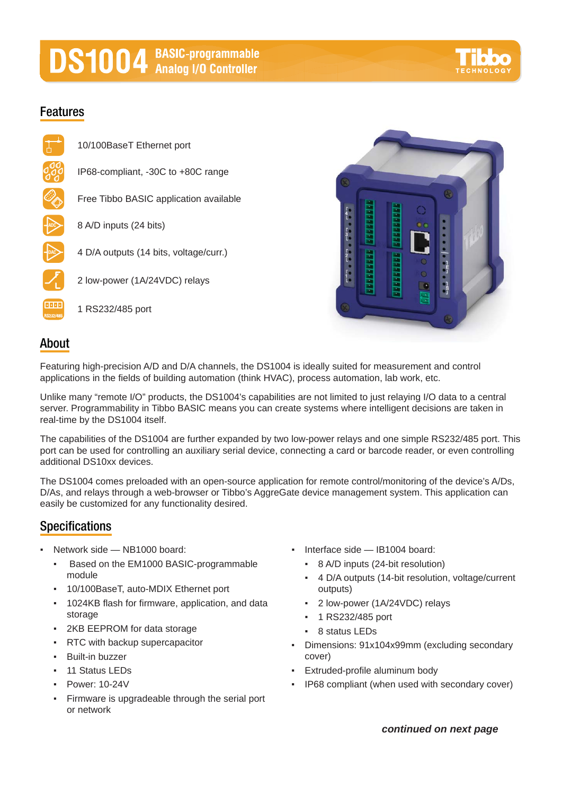# **DS1004** BASIC-programmable

# **Features**





## **About**

Featuring high-precision A/D and D/A channels, the DS1004 is ideally suited for measurement and control applications in the fields of building automation (think HVAC), process automation, lab work, etc.

Unlike many "remote I/O" products, the DS1004's capabilities are not limited to just relaying I/O data to a central server. Programmability in Tibbo BASIC means you can create systems where intelligent decisions are taken in real-time by the DS1004 itself.

The capabilities of the DS1004 are further expanded by two low-power relays and one simple RS232/485 port. This port can be used for controlling an auxiliary serial device, connecting a card or barcode reader, or even controlling additional DS10xx devices.

The DS1004 comes preloaded with an open-source application for remote control/monitoring of the device's A/Ds, D/As, and relays through a web-browser or Tibbo's AggreGate device management system. This application can easily be customized for any functionality desired.

# **Specifications**

- Network side  $-$  NB1000 board:
	- Based on the EM1000 BASIC-programmable module
	- 10/100BaseT, auto-MDIX Ethernet port
	- 1024KB flash for firmware, application, and data storage
	- 2KB EEPROM for data storage
	- RTC with backup supercapacitor
	- Built-in buzzer
	- 11 Status LEDs
	- Power: 10-24V
	- Firmware is upgradeable through the serial port or network
- Interface side  $-$  IB1004 board:
	- 8 A/D inputs (24-bit resolution)
	- 4 D/A outputs (14-bit resolution, voltage/current outputs)
	- 2 low-power (1A/24VDC) relays
	- 1 RS232/485 port
	- 8 status LEDs
- Dimensions: 91x104x99mm (excluding secondary cover)
- Extruded-profile aluminum body
- IP68 compliant (when used with secondary cover)

*continued on next page*